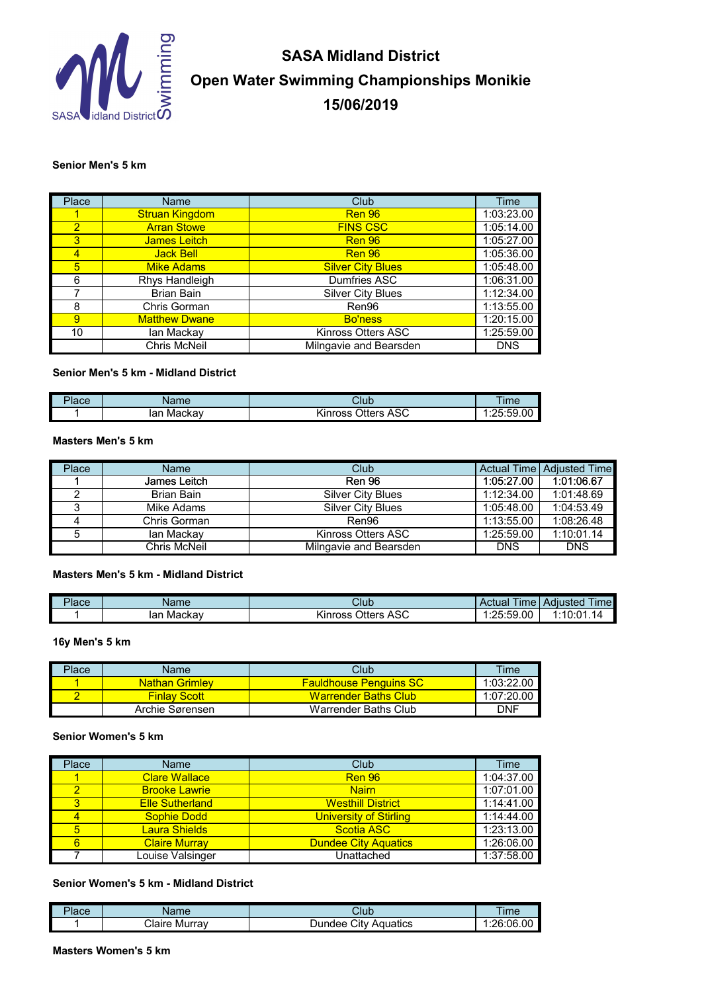

# **SASA Midland District Open Water Swimming Championships Monikie 15/06/2019**

#### **Senior Men's 5 km**

| Place          | Name                  | Club                     | <b>Time</b> |
|----------------|-----------------------|--------------------------|-------------|
|                | <b>Struan Kingdom</b> | <b>Ren 96</b>            | 1:03:23.00  |
| $\overline{2}$ | <b>Arran Stowe</b>    | <b>FINS CSC</b>          | 1:05:14.00  |
| $\overline{3}$ | James Leitch          | <b>Ren 96</b>            | 1:05:27.00  |
| $\overline{4}$ | <b>Jack Bell</b>      | <b>Ren 96</b>            | 1:05:36.00  |
| 5              | <b>Mike Adams</b>     | <b>Silver City Blues</b> | 1:05:48.00  |
| 6              | Rhys Handleigh        | Dumfries ASC             | 1:06:31.00  |
|                | <b>Brian Bain</b>     | <b>Silver City Blues</b> | 1:12:34.00  |
| 8              | Chris Gorman          | Ren96                    | 1:13:55.00  |
| $\mathbf{9}$   | <b>Matthew Dwane</b>  | <b>Bo'ness</b>           | 1:20:15.00  |
| 10             | lan Mackay            | Kinross Otters ASC       | 1:25:59.00  |
|                | Chris McNeil          | Milngavie and Bearsden   | <b>DNS</b>  |

#### **Senior Men's 5 km - Midland District**

| - 1<br>'lace | <b>me</b>              | Club                                              | Im <sub>e</sub> |
|--------------|------------------------|---------------------------------------------------|-----------------|
|              | on<br>Mackav<br>$\sim$ | 0 <sup>0</sup><br><b>Streets</b><br>inross<br>טרי | .25:59<br>.00   |

#### **Masters Men's 5 km**

| Place | Name         | Club                     |            | <b>Actual Time Adiusted Time</b> |
|-------|--------------|--------------------------|------------|----------------------------------|
|       | James Leitch | <b>Ren 96</b>            | 1:05:27.00 | 1:01:06.67                       |
|       | Brian Bain   | <b>Silver City Blues</b> | 1:12:34.00 | 1:01:48.69                       |
|       | Mike Adams   | <b>Silver City Blues</b> | 1:05:48.00 | 1:04:53.49                       |
|       | Chris Gorman | Ren96                    | 1:13:55.00 | 1:08:26.48                       |
|       | lan Mackav   | Kinross Otters ASC       | 1:25:59.00 | 1:10:01.14                       |
|       | Chris McNeil | Milngavie and Bearsden   | <b>DNS</b> | <b>DNS</b>                       |

# **Masters Men's 5 km - Midland District**

| Place | Name          | Club                           | $- \cdot$<br>lme<br>Actual            | $-$<br>Adiusted<br><b>Ime</b> |
|-------|---------------|--------------------------------|---------------------------------------|-------------------------------|
|       | lar<br>Mackav | ハペ<br>Otters<br>Kinross<br>AOU | :59.00<br>25.5<br>$\cdot \cdot \cdot$ | 1:10:01<br>14                 |

**16y Men's 5 km**

| Place | Name                  | Club                           | Time       |
|-------|-----------------------|--------------------------------|------------|
|       | <b>Nathan Grimlev</b> | <u> Fauldhouse Penguins SC</u> | 1:03:22.00 |
|       | <b>Finlay Scott</b>   | <b>Warrender Baths Club</b>    | 1:07:20.00 |
|       | Archie Sørensen       | Warrender Baths Club           | DNF        |

# **Senior Women's 5 km**

| Place | Name                   | Club                          | Time       |
|-------|------------------------|-------------------------------|------------|
|       | <b>Clare Wallace</b>   | Ren 96                        | 1:04:37.00 |
|       | <b>Brooke Lawrie</b>   | <b>Nairn</b>                  | 1:07:01.00 |
|       | <b>Elle Sutherland</b> | <b>Westhill District</b>      | 1:14:41.00 |
|       | <b>Sophie Dodd</b>     | <b>University of Stirling</b> | 1:14:44.00 |
| 5     | <b>Laura Shields</b>   | <b>Scotia ASC</b>             | 1:23:13.00 |
| 6     | <b>Claire Murray</b>   | <b>Dundee City Aquatics</b>   | 1:26:06.00 |
|       | Louise Valsinger       | Unattached                    | 1:37:58.00 |

#### **Senior Women's 5 km - Midland District**

| 'lace | une                     | Club                    | Im <sub>f</sub> |
|-------|-------------------------|-------------------------|-----------------|
|       | $\sim$<br>Murrav<br>. . | اٽٽ<br>Aquatics<br>ndee | :26:06.00       |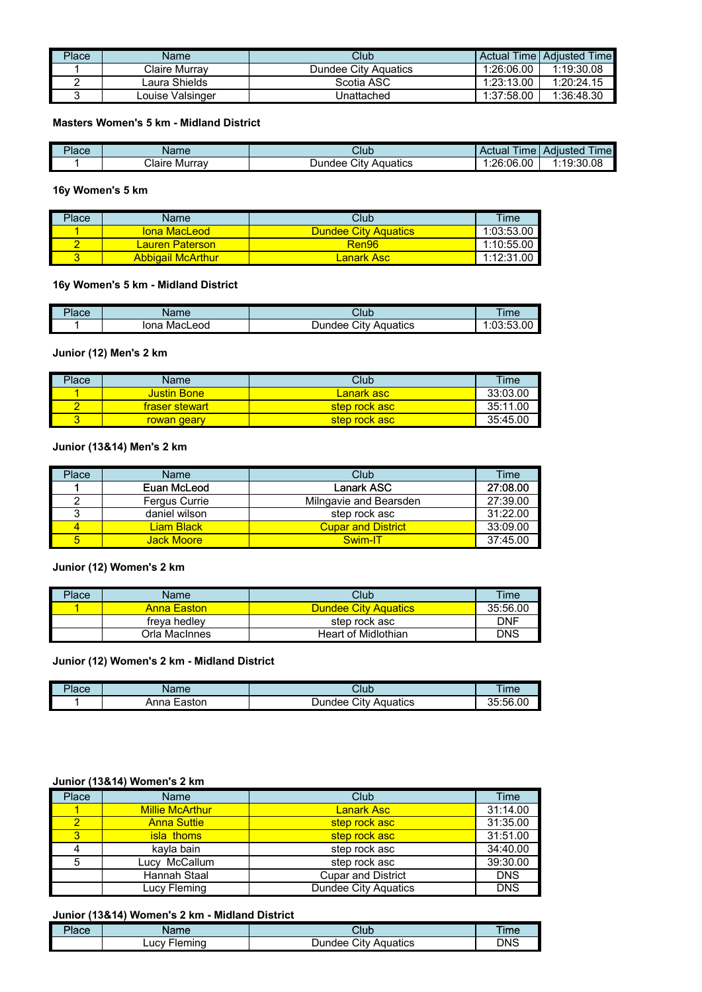| Place | Name             | Club                 |            | Actual Time   Adiusted Time |
|-------|------------------|----------------------|------------|-----------------------------|
|       | Claire Murrav    | Dundee City Aguatics | 1:26:06.00 | 1:19:30.08                  |
|       | Laura Shields    | Scotia ASC           | 1:23:13.00 | 1:20:24.15                  |
|       | Louise Valsinger | Unattached           | 1:37:58.00 | 1:36:48.30                  |

## **Masters Women's 5 km - Midland District**

| P <sub>lace</sub> | Name                       | Club                                    | $- \cdot$<br>ime<br>Actual | $- \cdot$<br><i><u>Ime</u></i><br><b>Adjusted</b> |
|-------------------|----------------------------|-----------------------------------------|----------------------------|---------------------------------------------------|
|                   | $\sim$<br>Claire<br>Murrav | $\sim$<br>Aquatics<br>$D$ undee<br>City | :26:06.00                  | 1:19:30.08                                        |

## **16y Women's 5 km**

| Place | Name                           | Club                        | Time       |
|-------|--------------------------------|-----------------------------|------------|
|       | <u>Iona MacLeodi</u>           | <b>Dundee City Aquatics</b> | 1:03:53.00 |
|       | <mark>∟auren Paterson /</mark> | Ren96                       | 1:10:55.00 |
|       | <b>Abbigail McArthur</b>       | Lanark Asc                  | 1:12:31.00 |

# **16y Women's 5 km - Midland District**

| $P$ ace | Name            | Club                                              | <b>Ime</b>           |
|---------|-----------------|---------------------------------------------------|----------------------|
|         | lona<br>MacLeod | City<br>Aquatics<br>$\bm{\cup}$ undee $^{\prime}$ | :03:53.00<br>1.02.52 |

## **Junior (12) Men's 2 km**

| Place | Name           | Club              | Time     |
|-------|----------------|-------------------|----------|
|       | Justin Bone.   | <b>Lanark</b> asc | 33:03.00 |
|       | fraser stewart | step rock asc     | 35:11.00 |
|       | rowan geary    | step rock asc     | 35:45.00 |

## **Junior (13&14) Men's 2 km**

| Place | Name          | Club                      | Time     |
|-------|---------------|---------------------------|----------|
|       | Euan McLeod   | Lanark ASC                | 27:08.00 |
|       | Fergus Currie | Milngavie and Bearsden    | 27:39.00 |
|       | daniel wilson | step rock asc             | 31:22.00 |
|       | Liam Black    | <b>Cupar and District</b> | 33:09.00 |
| 5     | Jack Moorel   | Swim-IT                   | 37:45.00 |

## **Junior (12) Women's 2 km**

| Place | Name               | Club                        | Time       |
|-------|--------------------|-----------------------------|------------|
|       | <b>Anna Easton</b> | <b>Dundee City Aquatics</b> | 35:56.00   |
|       | freva hedlev       | step rock asc               | DNF        |
|       | Orla MacInnes      | Heart of Midlothian         | <b>DNS</b> |

# **Junior (12) Women's 2 km - Midland District**

| <sup>'</sup> lace | lame           | Club                       | ïme              |
|-------------------|----------------|----------------------------|------------------|
|                   | Easton<br>Anna | City<br>Aquatics<br>Jundee | 56.00:<br>ุ<br>w |

# **Junior (13&14) Women's 2 km**

| Place | Name                   | Club                        | Time       |
|-------|------------------------|-----------------------------|------------|
|       | <b>Millie McArthur</b> | <b>Lanark Asc</b>           | 31:14.00   |
|       | <b>Anna Suttie</b>     | step rock asc               | 31:35.00   |
| 3     | <b>isla thoms</b>      | step rock asc               | 31:51.00   |
|       | kavla bain             | step rock asc               | 34:40.00   |
| 5     | Lucy McCallum          | step rock asc               | 39:30.00   |
|       | Hannah Staal           | <b>Cupar and District</b>   | <b>DNS</b> |
|       | Lucy Fleming           | <b>Dundee City Aquatics</b> | <b>DNS</b> |

#### **Junior (13&14) Women's 2 km - Midland District**

| <b>Place</b><br><b>Iduc</b> | lame                     | Club                       | lime |
|-----------------------------|--------------------------|----------------------------|------|
|                             | <b>Fleming</b><br>_ucv ˈ | Citv<br>⊃undee<br>Aquatics | DNS  |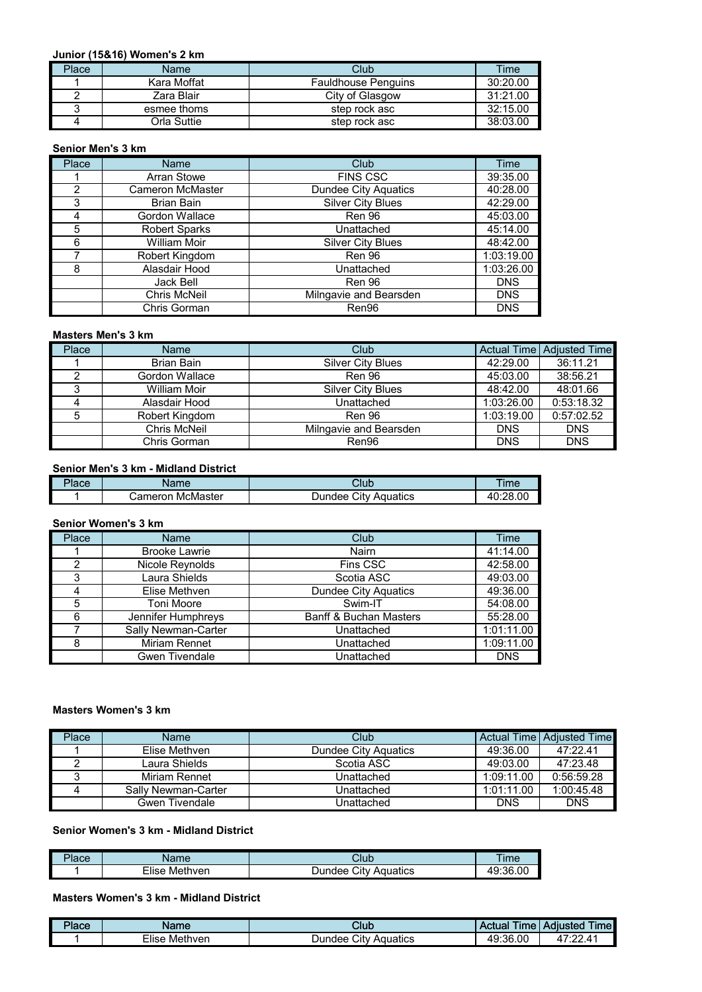## **Junior (15&16) Women's 2 km**

| Place | Name        | Club                       | Time     |
|-------|-------------|----------------------------|----------|
|       | Kara Moffat | <b>Fauldhouse Penguins</b> | 30:20.00 |
|       | Zara Blair  | City of Glasgow            | 31:21.00 |
|       | esmee thoms | step rock asc              | 32:15.00 |
|       | Orla Suttie | step rock asc              | 38:03.00 |

#### **Senior Men's 3 km**

| <b>Place</b> | Name                    | Club                        | <b>Time</b> |
|--------------|-------------------------|-----------------------------|-------------|
|              | Arran Stowe             | <b>FINS CSC</b>             | 39:35.00    |
| 2            | <b>Cameron McMaster</b> | <b>Dundee City Aquatics</b> | 40:28.00    |
| 3            | <b>Brian Bain</b>       | <b>Silver City Blues</b>    | 42:29.00    |
| 4            | Gordon Wallace          | Ren 96                      | 45:03.00    |
| 5            | <b>Robert Sparks</b>    | Unattached                  | 45:14.00    |
| 6            | <b>William Moir</b>     | <b>Silver City Blues</b>    | 48:42.00    |
|              | Robert Kingdom          | Ren 96                      | 1:03:19.00  |
| 8            | Alasdair Hood           | Unattached                  | 1:03:26.00  |
|              | Jack Bell               | Ren 96                      | <b>DNS</b>  |
|              | <b>Chris McNeil</b>     | Milngavie and Bearsden      | <b>DNS</b>  |
|              | Chris Gorman            | Ren96                       | <b>DNS</b>  |

#### **Masters Men's 3 km**

| Place | Name           | Club                     |            | Actual Time Adjusted Time |
|-------|----------------|--------------------------|------------|---------------------------|
|       | Brian Bain     | <b>Silver City Blues</b> | 42:29.00   | 36:11.21                  |
|       | Gordon Wallace | <b>Ren 96</b>            | 45:03.00   | 38:56.21                  |
| ື     | William Moir   | <b>Silver City Blues</b> | 48:42.00   | 48:01.66                  |
|       | Alasdair Hood  | Unattached               | 1:03:26.00 | 0:53:18.32                |
| 5     | Robert Kingdom | <b>Ren 96</b>            | 1:03:19.00 | 0:57:02.52                |
|       | Chris McNeil   | Milngavie and Bearsden   | <b>DNS</b> | <b>DNS</b>                |
|       | Chris Gorman   | Ren96                    | <b>DNS</b> | <b>DNS</b>                |

## **Senior Men's 3 km - Midland District**

| $P$ lace | ane            | Club     | ime    |
|----------|----------------|----------|--------|
|          | McMaster       | Citv     | :28.00 |
|          | ameron         | ⊃undee   | 4      |
|          | $\overline{a}$ | Aquatics | .      |

## **Senior Women's 3 km**

| Place | <b>Name</b>          | Club                              | Time       |
|-------|----------------------|-----------------------------------|------------|
|       | <b>Brooke Lawrie</b> | Nairn                             | 41:14.00   |
| 2     | Nicole Reynolds      | Fins CSC                          | 42:58.00   |
| 3     | Laura Shields        | Scotia ASC                        | 49:03.00   |
|       | Elise Methven        | <b>Dundee City Aquatics</b>       | 49:36.00   |
| 5     | <b>Toni Moore</b>    | Swim-IT                           | 54:08.00   |
| 6     | Jennifer Humphreys   | <b>Banff &amp; Buchan Masters</b> | 55:28.00   |
|       | Sally Newman-Carter  | Unattached                        | 1:01:11.00 |
| 8     | <b>Miriam Rennet</b> | Unattached                        | 1:09:11.00 |
|       | Gwen Tivendale       | Unattached                        | <b>DNS</b> |

#### **Masters Women's 3 km**

| Place | <b>Name</b>         | Club                        |            | Actual Time   Adiusted Time |
|-------|---------------------|-----------------------------|------------|-----------------------------|
|       | Elise Methven       | <b>Dundee City Aquatics</b> | 49:36.00   | 47:22.41                    |
|       | Laura Shields       | Scotia ASC                  | 49:03.00   | 47:23.48                    |
|       | Miriam Rennet       | Unattached                  | 1:09:11.00 | 0:56:59.28                  |
|       | Sally Newman-Carter | Unattached                  | 1:01:11.00 | 1:00:45.48                  |
|       | Gwen Tivendale      | Unattached                  | <b>DNS</b> | <b>DNS</b>                  |

#### **Senior Women's 3 km - Midland District**

| $P$ lace | Name                 | Club                       | Im <sub>6</sub> |
|----------|----------------------|----------------------------|-----------------|
|          | -<br>∟ءוا<br>Methven | Aquatics<br>Dundee<br>∴it∨ | :36.00<br>٨o    |

# **Masters Women's 3 km - Midland District**

| המחור<br>1acc | Name                   | Club                                | <b><i><u>Property</u></i></b><br>ime<br><b>Ctua</b> | <b>Ime</b><br>Adiusted                 |
|---------------|------------------------|-------------------------------------|-----------------------------------------------------|----------------------------------------|
|               | --<br>Methven<br>∹lise | $\sim$<br>Aquatics<br>Dundee<br>ان. | 36.00:١<br>49:                                      | $\sim$<br>. –<br>$^{\prime}$<br>$   -$ |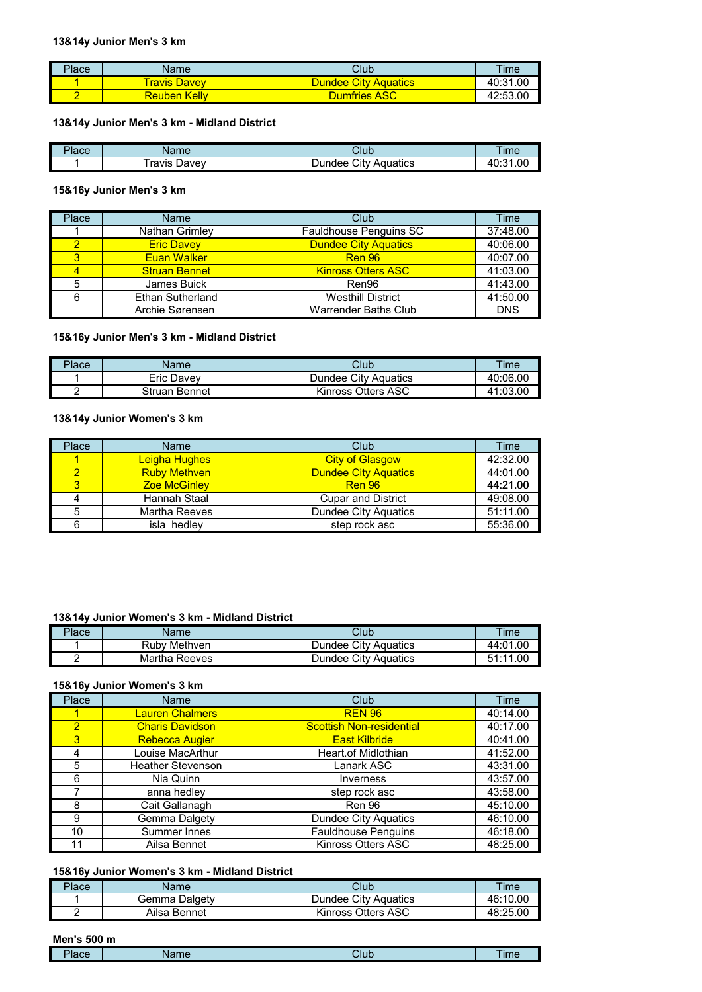## **13&14y Junior Men's 3 km**

| Place | <b>Name</b>         | Club                        | <b>Time</b> |
|-------|---------------------|-----------------------------|-------------|
|       | <b>Travis Davey</b> | <b>Dundee City Aquatics</b> | 40:31.00    |
|       | <b>Reuben Kelly</b> | <b>Dumfries ASC</b>         | 42:53.00    |

## **13&14y Junior Men's 3 km - Midland District**

| mв.<br>'lace | Name           | Club                       | Im <sub>6</sub> |
|--------------|----------------|----------------------------|-----------------|
|              | ravis<br>∟avev | Citv<br>Aquatics<br>Jundee | .00<br>ີ        |

# **15&16y Junior Men's 3 km**

| Place | Name                    | Club                        | Time       |
|-------|-------------------------|-----------------------------|------------|
|       | Nathan Grimley          | Fauldhouse Penguins SC      | 37:48.00   |
|       | <b>Eric Davey</b>       | <b>Dundee City Aquatics</b> | 40:06.00   |
| 3     | <b>Euan Walker</b>      | <b>Ren 96</b>               | 40:07.00   |
|       | <b>Struan Bennet</b>    | <b>Kinross Otters ASC</b>   | 41:03.00   |
| 5     | James Buick             | Ren96                       | 41:43.00   |
| 6     | <b>Ethan Sutherland</b> | <b>Westhill District</b>    | 41:50.00   |
|       | Archie Sørensen         | Warrender Baths Club        | <b>DNS</b> |

#### **15&16y Junior Men's 3 km - Midland District**

| $P$ lace | Name          | Club                        | Time     |
|----------|---------------|-----------------------------|----------|
|          | Eric Davev    | <b>Dundee City Aquatics</b> | 40:06.00 |
|          | Struan Bennet | Kinross Otters ASC          | 41:03.00 |

## **13&14y Junior Women's 3 km**

| Place | <b>Name</b>         | Club                        | Time     |
|-------|---------------------|-----------------------------|----------|
|       | Leigha Hughes       | <b>City of Glasgow</b>      | 42:32.00 |
|       | <b>Ruby Methven</b> | <b>Dundee City Aquatics</b> | 44:01.00 |
|       | <b>Zoe McGinley</b> | <b>Ren 96</b>               | 44:21.00 |
|       | Hannah Staal        | <b>Cupar and District</b>   | 49:08.00 |
|       | Martha Reeves       | Dundee City Aquatics        | 51:11.00 |
|       | isla hedley         | step rock asc               | 55:36.00 |

## **13&14y Junior Women's 3 km - Midland District**

| Place | Name          | Club                        | Time     |
|-------|---------------|-----------------------------|----------|
|       | Ruby Methyen  | <b>Dundee City Aquatics</b> | 44:01.00 |
|       | Martha Reeves | Dundee City Aguatics        | 51:11.00 |

#### **15&16y Junior Women's 3 km**

| Place          | Name                     | Club                            | Time     |
|----------------|--------------------------|---------------------------------|----------|
|                | <b>Lauren Chalmers</b>   | <b>REN 96</b>                   | 40:14.00 |
| $\overline{2}$ | <b>Charis Davidson</b>   | <b>Scottish Non-residential</b> | 40:17.00 |
| 3              | <b>Rebecca Augier</b>    | <b>East Kilbride</b>            | 40:41.00 |
|                | Louise MacArthur         | <b>Heart.of Midlothian</b>      | 41:52.00 |
| 5              | <b>Heather Stevenson</b> | Lanark ASC                      | 43:31.00 |
| 6              | Nia Quinn                | Inverness                       | 43:57.00 |
|                | anna hedley              | step rock asc                   | 43:58.00 |
| 8              | Cait Gallanagh           | Ren 96                          | 45:10.00 |
| 9              | Gemma Dalgety            | <b>Dundee City Aquatics</b>     | 46:10.00 |
| 10             | Summer Innes             | <b>Fauldhouse Penguins</b>      | 46:18.00 |
| 11             | Ailsa Bennet             | Kinross Otters ASC              | 48:25.00 |

# **15&16y Junior Women's 3 km - Midland District**

| Place | Name          | Club                        | Time     |
|-------|---------------|-----------------------------|----------|
|       | Gemma Dalɑetv | <b>Dundee City Aquatics</b> | 46:10.00 |
| -     | Ailsa Bennet  | Kinross Otters ASC          | 48:25.00 |

## **Men's 500 m**

| -<br>مموالا<br>lauc | Name | Club | , ime |
|---------------------|------|------|-------|